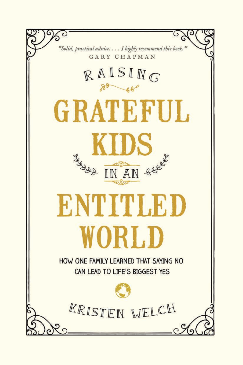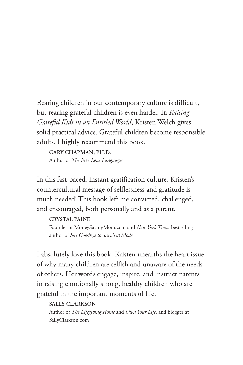Rearing children in our contemporary culture is difficult, but rearing grateful children is even harder. In *Raising Grateful Kids in an Entitled World*, Kristen Welch gives solid practical advice. Grateful children become responsible adults. I highly recommend this book.

**GARY CHAPMAN, PH.D.** Author of *The Five Love Languages*

In this fast-paced, instant gratification culture, Kristen's countercultural message of selflessness and gratitude is much needed! This book left me convicted, challenged, and encouraged, both personally and as a parent.

**CRYSTAL PAINE**

Founder of MoneySavingMom.com and *New York Times* bestselling author of *Say Goodbye to Survival Mode*

I absolutely love this book. Kristen unearths the heart issue of why many children are selfish and unaware of the needs of others. Her words engage, inspire, and instruct parents in raising emotionally strong, healthy children who are grateful in the important moments of life.

**SALLY CLARKSON** Author of *The Lifegiving Home* and *Own Your Life*, and blogger at SallyClarkson.com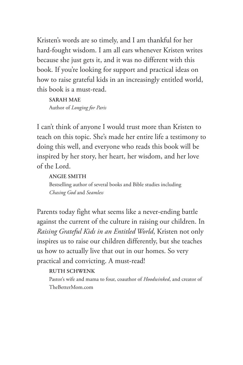Kristen's words are so timely, and I am thankful for her hard-fought wisdom. I am all ears whenever Kristen writes because she just gets it, and it was no different with this book. If you're looking for support and practical ideas on how to raise grateful kids in an increasingly entitled world, this book is a must-read.

**SARAH MAE** Author of *Longing for Paris*

I can't think of anyone I would trust more than Kristen to teach on this topic. She's made her entire life a testimony to doing this well, and everyone who reads this book will be inspired by her story, her heart, her wisdom, and her love of the Lord.

#### **ANGIE SMITH**

Bestselling author of several books and Bible studies including *Chasing God* and *Seamless*

Parents today fight what seems like a never-ending battle against the current of the culture in raising our children. In *Raising Grateful Kids in an Entitled World*, Kristen not only inspires us to raise our children differently, but she teaches us how to actually live that out in our homes. So very practical and convicting. A must-read!

#### **RUTH SCHWENK**

Pastor's wife and mama to four, coauthor of *Hoodwinked*, and creator of TheBetterMom.com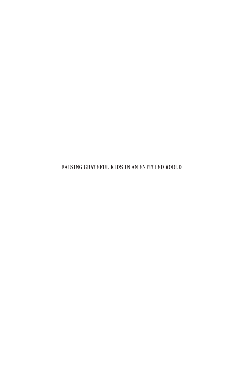RAISING GRATEFUL KIDS IN AN ENTITLED WORLD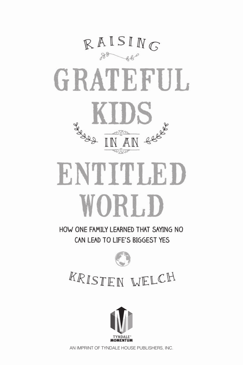

HOW ONE FAMILY LEARNED THAT SAYING NO CAN LEAD TO LIFE'S BIGGEST YES





AN IMPRINT OF TYNDALE HOUSE PUBLISHERS, INC.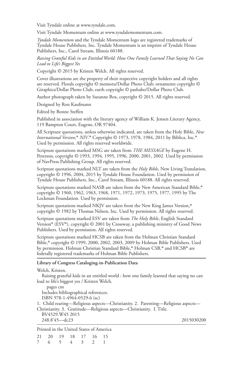Visit Tyndale online at www.tyndale.com.

Visit Tyndale Momentum online at www.tyndalemomentum.com.

*Tyndale Momentum* and the Tyndale Momentum logo are registered trademarks of Tyndale House Publishers, Inc. Tyndale Momentum is an imprint of Tyndale House Publishers, Inc., Carol Stream, Illinois 60188.

*Raising Grateful Kids in an Entitled World: How One Family Learned That Saying No Can Lead to Life's Biggest Yes*

Copyright © 2015 by Kristen Welch. All rights reserved.

Cover illustrations are the property of their respective copyright holders and all rights are reserved. Florals copyright © memoru/Dollar Photo Club; ornaments copyright © Giraphics/Dollar Photo Club; earth copyright © pashabo/Dollar Photo Club.

Author photograph taken by Suzanne Box, copyright © 2015. All rights reserved.

Designed by Ron Kaufmann

Edited by Bonne Steffen

Published in association with the literary agency of William K. Jensen Literary Agency, 119 Bampton Court, Eugene, OR 97404.

All Scripture quotations, unless otherwise indicated, are taken from the Holy Bible, *New International Version*, ® *NIV*. ® Copyright © 1973, 1978, 1984, 2011 by Biblica, Inc.® Used by permission. All rights reserved worldwide.

Scripture quotations marked MSG are taken from *THE MESSAGE* by Eugene H. Peterson, copyright © 1993, 1994, 1995, 1996, 2000, 2001, 2002. Used by permission of NavPress Publishing Group. All rights reserved.

Scripture quotations marked NLT are taken from the *Holy Bible*, New Living Translation, copyright © 1996, 2004, 2015 by Tyndale House Foundation. Used by permission of Tyndale House Publishers, Inc., Carol Stream, Illinois 60188. All rights reserved.

Scripture quotations marked NASB are taken from the New American Standard Bible,® copyright © 1960, 1962, 1963, 1968, 1971, 1972, 1973, 1975, 1977, 1995 by The Lockman Foundation. Used by permission.

Scripture quotations marked NKJV are taken from the New King James Version,® copyright © 1982 by Thomas Nelson, Inc. Used by permission. All rights reserved.

Scripture quotations marked ESV are taken from *The Holy Bible*, English Standard Version® (ESV®), copyright © 2001 by Crossway, a publishing ministry of Good News Publishers. Used by permission. All rights reserved.

Scripture quotations marked HCSB are taken from the Holman Christian Standard Bible,® copyright © 1999, 2000, 2002, 2003, 2009 by Holman Bible Publishers. Used by permission. Holman Christian Standard Bible,® Holman CSB,® and HCSB® are federally registered trademarks of Holman Bible Publishers.

#### **Library of Congress Cataloging-in-Publication Data**

Welch, Kristen.

Raising grateful kids in an entitled world : how one family learned that saying no can lead to life's biggest yes / Kristen Welch.

 pages cm Includes bibliographical references. ISBN 978-1-4964-0529-6 (sc) 1. Child rearing—Religious aspects—Christianity. 2. Parenting—Religious aspects— Christianity. 3. Gratitude—Religious aspects—Christianity. I. Title. BV4529.W45 2015 248.8'45—dc23 2015030200

Printed in the United States of America

21 20 19 18 17 16 15 7 6 5 4 3 2 1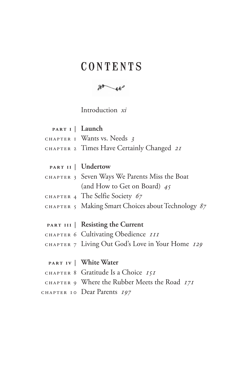## CONTENTS



 [Introduction](#page-8-0) *xi*

| PART I   Launch |                                                    |
|-----------------|----------------------------------------------------|
|                 | CHAPTER I Wants vs. Needs 3                        |
|                 | CHAPTER 2 Times Have Certainly Changed 21          |
|                 |                                                    |
|                 | PART II   Undertow                                 |
|                 | CHAPTER 3 Seven Ways We Parents Miss the Boat      |
|                 | (and How to Get on Board) 45                       |
|                 | CHAPTER 4 The Selfie Society $67$                  |
|                 | CHAPTER 5 Making Smart Choices about Technology 87 |
|                 |                                                    |
|                 | <b>PART III</b>   Resisting the Current            |
|                 | CHAPTER 6 Cultivating Obedience III                |
|                 | CHAPTER 7 Living Out God's Love in Your Home 129   |
|                 |                                                    |
|                 | <b>PART IV</b>   White Water                       |
|                 | CHAPTER 8 Gratitude Is a Choice 151                |
|                 | CHAPTER 9 Where the Rubber Meets the Road 171      |

Chapter 10 Dear Parents *197*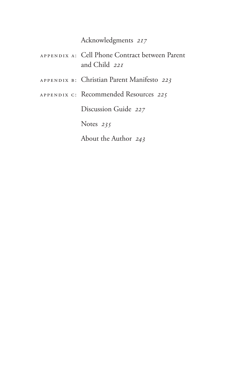## Acknowledgments *217*

| APPENDIX A: Cell Phone Contract between Parent |
|------------------------------------------------|
| and Child 221                                  |

- Appendix B: Christian Parent Manifesto *223*
- Appendix C: Recommended Resources *225*

Discussion Guide *227*

Notes *235*

About the Author *243*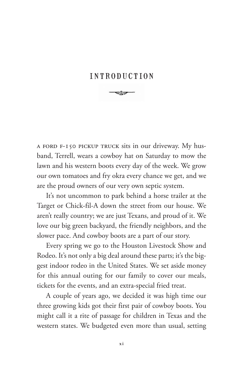## <span id="page-8-0"></span>INTRODUCTION

 $\nabla^2$ 

A Ford F-150 pickup truck sits in our driveway. My husband, Terrell, wears a cowboy hat on Saturday to mow the lawn and his western boots every day of the week. We grow our own tomatoes and fry okra every chance we get, and we are the proud owners of our very own septic system.

It's not uncommon to park behind a horse trailer at the Target or Chick-fil-A down the street from our house. We aren't really country; we are just Texans, and proud of it. We love our big green backyard, the friendly neighbors, and the slower pace. And cowboy boots are a part of our story.

Every spring we go to the Houston Livestock Show and Rodeo. It's not only a big deal around these parts; it's the biggest indoor rodeo in the United States. We set aside money for this annual outing for our family to cover our meals, tickets for the events, and an extra-special fried treat.

A couple of years ago, we decided it was high time our three growing kids got their first pair of cowboy boots. You might call it a rite of passage for children in Texas and the western states. We budgeted even more than usual, setting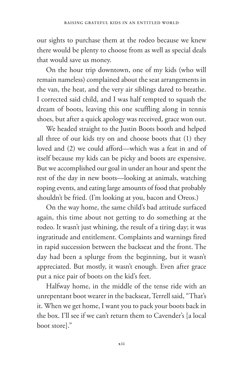our sights to purchase them at the rodeo because we knew there would be plenty to choose from as well as special deals that would save us money.

On the hour trip downtown, one of my kids (who will remain nameless) complained about the seat arrangements in the van, the heat, and the very air siblings dared to breathe. I corrected said child, and I was half tempted to squash the dream of boots, leaving this one scuffling along in tennis shoes, but after a quick apology was received, grace won out.

We headed straight to the Justin Boots booth and helped all three of our kids try on and choose boots that (1) they loved and (2) we could afford—which was a feat in and of itself because my kids can be picky and boots are expensive. But we accomplished our goal in under an hour and spent the rest of the day in new boots—looking at animals, watching roping events, and eating large amounts of food that probably shouldn't be fried. (I'm looking at you, bacon and Oreos.)

On the way home, the same child's bad attitude surfaced again, this time about not getting to do something at the rodeo. It wasn't just whining, the result of a tiring day; it was ingratitude and entitlement. Complaints and warnings fired in rapid succession between the backseat and the front. The day had been a splurge from the beginning, but it wasn't appreciated. But mostly, it wasn't enough. Even after grace put a nice pair of boots on the kid's feet.

Halfway home, in the middle of the tense ride with an unrepentant boot wearer in the backseat, Terrell said, "That's it. When we get home, I want you to pack your boots back in the box. I'll see if we can't return them to Cavender's [a local boot store]."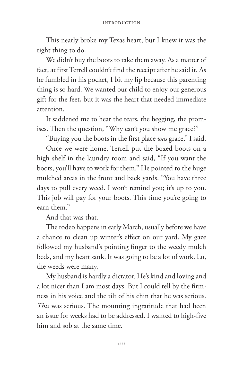This nearly broke my Texas heart, but I knew it was the right thing to do.

We didn't buy the boots to take them away. As a matter of fact, at first Terrell couldn't find the receipt after he said it. As he fumbled in his pocket, I bit my lip because this parenting thing is so hard. We wanted our child to enjoy our generous gift for the feet, but it was the heart that needed immediate attention.

It saddened me to hear the tears, the begging, the promises. Then the question, "Why can't you show me grace?"

"Buying you the boots in the first place *was* grace," I said.

Once we were home, Terrell put the boxed boots on a high shelf in the laundry room and said, "If you want the boots, you'll have to work for them." He pointed to the huge mulched areas in the front and back yards. "You have three days to pull every weed. I won't remind you; it's up to you. This job will pay for your boots. This time you're going to earn them."

And that was that.

The rodeo happens in early March, usually before we have a chance to clean up winter's effect on our yard. My gaze followed my husband's pointing finger to the weedy mulch beds, and my heart sank. It was going to be a lot of work. Lo, the weeds were many.

My husband is hardly a dictator. He's kind and loving and a lot nicer than I am most days. But I could tell by the firmness in his voice and the tilt of his chin that he was serious. *This* was serious. The mounting ingratitude that had been an issue for weeks had to be addressed. I wanted to high-five him and sob at the same time.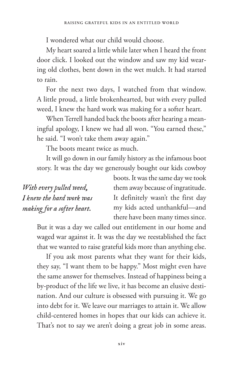I wondered what our child would choose.

My heart soared a little while later when I heard the front door click. I looked out the window and saw my kid wearing old clothes, bent down in the wet mulch. It had started to rain.

For the next two days, I watched from that window. A little proud, a little brokenhearted, but with every pulled weed, I knew the hard work was making for a softer heart.

When Terrell handed back the boots after hearing a meaningful apology, I knew we had all won. "You earned these," he said. "I won't take them away again."

The boots meant twice as much.

It will go down in our family history as the infamous boot story. It was the day we generously bought our kids cowboy

*With every pulled weed, I knew the hard work was making for a softer heart.*

boots. It was the same day we took them away because of ingratitude. It definitely wasn't the first day my kids acted unthankful—and there have been many times since.

But it was a day we called out entitlement in our home and waged war against it. It was the day we reestablished the fact that we wanted to raise grateful kids more than anything else.

If you ask most parents what they want for their kids, they say, "I want them to be happy." Most might even have the same answer for themselves. Instead of happiness being a by-product of the life we live, it has become an elusive destination. And our culture is obsessed with pursuing it. We go into debt for it. We leave our marriages to attain it. We allow child-centered homes in hopes that our kids can achieve it. That's not to say we aren't doing a great job in some areas.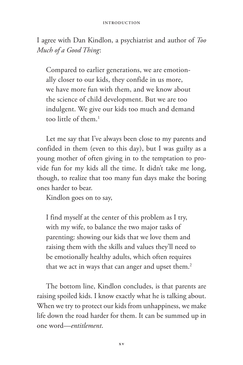I agree with Dan Kindlon, a psychiatrist and author of *Too Much of a Good Thing*:

Compared to earlier generations, we are emotionally closer to our kids, they confide in us more, we have more fun with them, and we know about the science of child development. But we are too indulgent. We give our kids too much and demand too little of them.<sup>1</sup>

Let me say that I've always been close to my parents and confided in them (even to this day), but I was guilty as a young mother of often giving in to the temptation to provide fun for my kids all the time. It didn't take me long, though, to realize that too many fun days make the boring ones harder to bear.

Kindlon goes on to say,

I find myself at the center of this problem as I try, with my wife, to balance the two major tasks of parenting: showing our kids that we love them and raising them with the skills and values they'll need to be emotionally healthy adults, which often requires that we act in ways that can anger and upset them.<sup>2</sup>

The bottom line, Kindlon concludes, is that parents are raising spoiled kids. I know exactly what he is talking about. When we try to protect our kids from unhappiness, we make life down the road harder for them. It can be summed up in one word—*entitlement*.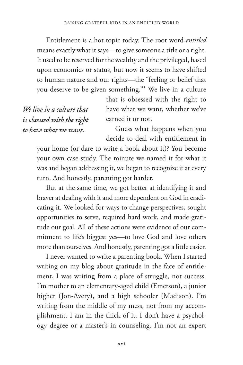Entitlement is a hot topic today. The root word *entitled*  means exactly what it says—to give someone a title or a right. It used to be reserved for the wealthy and the privileged, based upon economics or status, but now it seems to have shifted to human nature and our rights—the "feeling or belief that you deserve to be given something."3 We live in a culture

*We live in a culture that is obsessed with the right to have what we want.*

that is obsessed with the right to have what we want, whether we've earned it or not.

Guess what happens when you decide to deal with entitlement in

your home (or dare to write a book about it)? You become your own case study. The minute we named it for what it was and began addressing it, we began to recognize it at every turn. And honestly, parenting got harder.

But at the same time, we got better at identifying it and braver at dealing with it and more dependent on God in eradicating it. We looked for ways to change perspectives, sought opportunities to serve, required hard work, and made gratitude our goal. All of these actions were evidence of our commitment to life's biggest yes—to love God and love others more than ourselves. And honestly, parenting got a little easier.

I never wanted to write a parenting book. When I started writing on my blog about gratitude in the face of entitlement, I was writing from a place of struggle, not success. I'm mother to an elementary-aged child (Emerson), a junior higher (Jon-Avery), and a high schooler (Madison). I'm writing from the middle of my mess, not from my accomplishment. I am in the thick of it. I don't have a psychology degree or a master's in counseling. I'm not an expert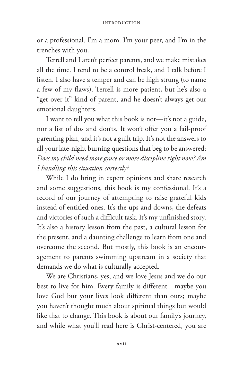#### **Introduction**

or a professional. I'm a mom. I'm your peer, and I'm in the trenches with you.

Terrell and I aren't perfect parents, and we make mistakes all the time. I tend to be a control freak, and I talk before I listen. I also have a temper and can be high strung (to name a few of my flaws). Terrell is more patient, but he's also a "get over it" kind of parent, and he doesn't always get our emotional daughters.

I want to tell you what this book is not—it's not a guide, nor a list of dos and don'ts. It won't offer you a fail-proof parenting plan, and it's not a guilt trip. It's not the answers to all your late-night burning questions that beg to be answered: *Does my child need more grace or more discipline right now? Am I handling this situation correctly?*

While I do bring in expert opinions and share research and some suggestions, this book is my confessional. It's a record of our journey of attempting to raise grateful kids instead of entitled ones. It's the ups and downs, the defeats and victories of such a difficult task. It's my unfinished story. It's also a history lesson from the past, a cultural lesson for the present, and a daunting challenge to learn from one and overcome the second. But mostly, this book is an encouragement to parents swimming upstream in a society that demands we do what is culturally accepted.

We are Christians, yes, and we love Jesus and we do our best to live for him. Every family is different—maybe you love God but your lives look different than ours; maybe you haven't thought much about spiritual things but would like that to change. This book is about our family's journey, and while what you'll read here is Christ-centered, you are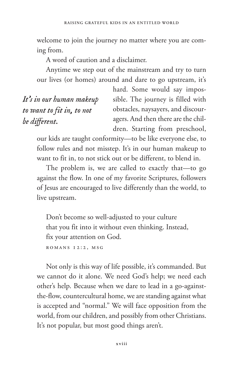welcome to join the journey no matter where you are coming from.

A word of caution and a disclaimer.

Anytime we step out of the mainstream and try to turn our lives (or homes) around and dare to go upstream, it's

*It's in our human makeup to want to fit in, to not be different.*

hard. Some would say impossible. The journey is filled with obstacles, naysayers, and discouragers. And then there are the children. Starting from preschool,

our kids are taught conformity—to be like everyone else, to follow rules and not misstep. It's in our human makeup to want to fit in, to not stick out or be different, to blend in.

The problem is, we are called to exactly that—to go against the flow. In one of my favorite Scriptures, followers of Jesus are encouraged to live differently than the world, to live upstream.

Don't become so well-adjusted to your culture that you fit into it without even thinking. Instead, fix your attention on God. Romans 12:2, msg

Not only is this way of life possible, it's commanded. But we cannot do it alone. We need God's help; we need each other's help. Because when we dare to lead in a go-againstthe-flow, countercultural home, we are standing against what is accepted and "normal." We will face opposition from the world, from our children, and possibly from other Christians. It's not popular, but most good things aren't.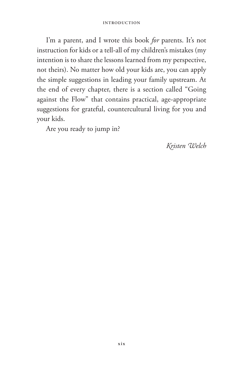#### **Introduction**

I'm a parent, and I wrote this book *for* parents. It's not instruction for kids or a tell-all of my children's mistakes (my intention is to share the lessons learned from my perspective, not theirs). No matter how old your kids are, you can apply the simple suggestions in leading your family upstream. At the end of every chapter, there is a section called "Going against the Flow" that contains practical, age-appropriate suggestions for grateful, countercultural living for you and your kids.

Are you ready to jump in?

*Kristen Welch*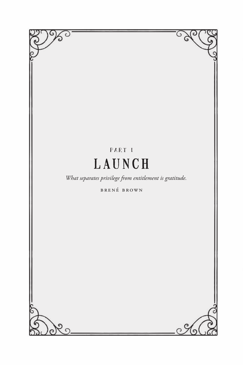<span id="page-17-0"></span>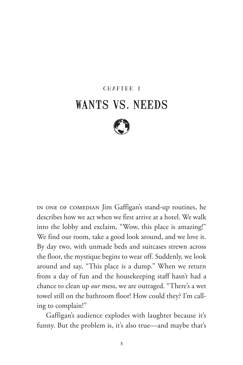# <span id="page-18-0"></span>Chapter 1 WANTS VS. NEEDS



IN ONE OF COMEDIAN Jim Gaffigan's stand-up routines, he describes how we act when we first arrive at a hotel. We walk into the lobby and exclaim, "Wow, this place is amazing!" We find our room, take a good look around, and we love it. By day two, with unmade beds and suitcases strewn across the floor, the mystique begins to wear off. Suddenly, we look around and say, "This place is a dump." When we return from a day of fun and the housekeeping staff hasn't had a chance to clean up *our* mess, we are outraged. "There's a wet towel still on the bathroom floor! How could they? I'm calling to complain!"

Gaffigan's audience explodes with laughter because it's funny. But the problem is, it's also true—and maybe that's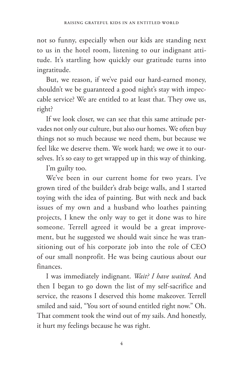not so funny, especially when our kids are standing next to us in the hotel room, listening to our indignant attitude. It's startling how quickly our gratitude turns into ingratitude.

But, we reason, if we've paid our hard-earned money, shouldn't we be guaranteed a good night's stay with impeccable service? We are entitled to at least that. They owe us, right?

If we look closer, we can see that this same attitude pervades not only our culture, but also our homes. We often buy things not so much because we need them, but because we feel like we deserve them. We work hard; we owe it to ourselves. It's so easy to get wrapped up in this way of thinking.

I'm guilty too.

We've been in our current home for two years. I've grown tired of the builder's drab beige walls, and I started toying with the idea of painting. But with neck and back issues of my own and a husband who loathes painting projects, I knew the only way to get it done was to hire someone. Terrell agreed it would be a great improvement, but he suggested we should wait since he was transitioning out of his corporate job into the role of CEO of our small nonprofit. He was being cautious about our finances.

I was immediately indignant. *Wait? I have waited*. And then I began to go down the list of my self-sacrifice and service, the reasons I deserved this home makeover. Terrell smiled and said, "You sort of sound entitled right now." Oh. That comment took the wind out of my sails. And honestly, it hurt my feelings because he was right.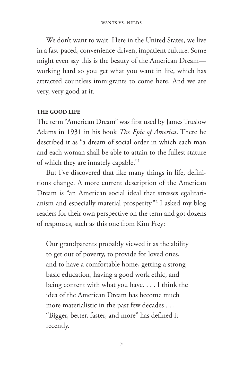We don't want to wait. Here in the United States, we live in a fast-paced, convenience-driven, impatient culture. Some might even say this is the beauty of the American Dream working hard so you get what you want in life, which has attracted countless immigrants to come here. And we are very, very good at it.

#### **THE GOOD LIFE**

The term "American Dream" was first used by James Truslow Adams in 1931 in his book *The Epic of America*. There he described it as "a dream of social order in which each man and each woman shall be able to attain to the fullest stature of which they are innately capable."1

But I've discovered that like many things in life, definitions change. A more current description of the American Dream is "an American social ideal that stresses egalitarianism and especially material prosperity."2 I asked my blog readers for their own perspective on the term and got dozens of responses, such as this one from Kim Frey:

Our grandparents probably viewed it as the ability to get out of poverty, to provide for loved ones, and to have a comfortable home, getting a strong basic education, having a good work ethic, and being content with what you have. . . . I think the idea of the American Dream has become much more materialistic in the past few decades . . . "Bigger, better, faster, and more" has defined it recently.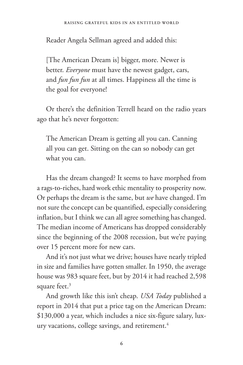Reader Angela Sellman agreed and added this:

[The American Dream is] bigger, more. Newer is better. *Everyone* must have the newest gadget, cars, and *fun fun fun* at all times. Happiness all the time is the goal for everyone!

Or there's the definition Terrell heard on the radio years ago that he's never forgotten:

The American Dream is getting all you can. Canning all you can get. Sitting on the can so nobody can get what you can.

Has the dream changed? It seems to have morphed from a rags-to-riches, hard work ethic mentality to prosperity now. Or perhaps the dream is the same, but *we* have changed. I'm not sure the concept can be quantified, especially considering inflation, but I think we can all agree something has changed. The median income of Americans has dropped considerably since the beginning of the 2008 recession, but we're paying over 15 percent more for new cars.

And it's not just what we drive; houses have nearly tripled in size and families have gotten smaller. In 1950, the average house was 983 square feet, but by 2014 it had reached 2,598 square feet.<sup>3</sup>

And growth like this isn't cheap. *USA Today* published a report in 2014 that put a price tag on the American Dream: \$130,000 a year, which includes a nice six-figure salary, luxury vacations, college savings, and retirement.<sup>4</sup>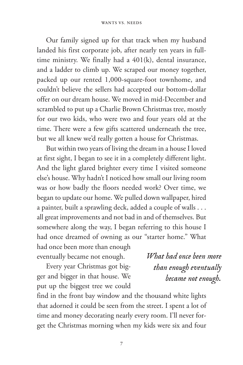Our family signed up for that track when my husband landed his first corporate job, after nearly ten years in fulltime ministry. We finally had a 401(k), dental insurance, and a ladder to climb up. We scraped our money together, packed up our rented 1,000-square-foot townhome, and couldn't believe the sellers had accepted our bottom-dollar offer on our dream house. We moved in mid-December and scrambled to put up a Charlie Brown Christmas tree, mostly for our two kids, who were two and four years old at the time. There were a few gifts scattered underneath the tree, but we all knew we'd really gotten a house for Christmas.

But within two years of living the dream in a house I loved at first sight, I began to see it in a completely different light. And the light glared brighter every time I visited someone else's house. Why hadn't I noticed how small our living room was or how badly the floors needed work? Over time, we began to update our home. We pulled down wallpaper, hired a painter, built a sprawling deck, added a couple of walls . . . all great improvements and not bad in and of themselves. But somewhere along the way, I began referring to this house I had once dreamed of owning as our "starter home." What had once been more than enough

eventually became not enough. Every year Christmas got big-

ger and bigger in that house. We put up the biggest tree we could *What had once been more than enough eventually became not enough.*

find in the front bay window and the thousand white lights that adorned it could be seen from the street. I spent a lot of time and money decorating nearly every room. I'll never forget the Christmas morning when my kids were six and four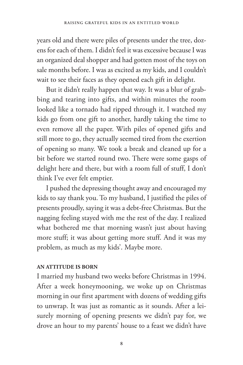years old and there were piles of presents under the tree, dozens for each of them. I didn't feel it was excessive because I was an organized deal shopper and had gotten most of the toys on sale months before. I was as excited as my kids, and I couldn't wait to see their faces as they opened each gift in delight.

But it didn't really happen that way. It was a blur of grabbing and tearing into gifts, and within minutes the room looked like a tornado had ripped through it. I watched my kids go from one gift to another, hardly taking the time to even remove all the paper. With piles of opened gifts and still more to go, they actually seemed tired from the exertion of opening so many. We took a break and cleaned up for a bit before we started round two. There were some gasps of delight here and there, but with a room full of stuff, I don't think I've ever felt emptier.

I pushed the depressing thought away and encouraged my kids to say thank you. To my husband, I justified the piles of presents proudly, saying it was a debt-free Christmas. But the nagging feeling stayed with me the rest of the day. I realized what bothered me that morning wasn't just about having more stuff; it was about getting more stuff. And it was my problem, as much as my kids'. Maybe more.

#### **AN ATTITUDE IS BORN**

I married my husband two weeks before Christmas in 1994. After a week honeymooning, we woke up on Christmas morning in our first apartment with dozens of wedding gifts to unwrap. It was just as romantic as it sounds. After a leisurely morning of opening presents we didn't pay for, we drove an hour to my parents' house to a feast we didn't have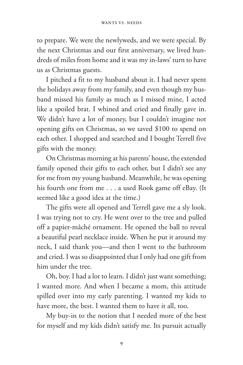to prepare. We were the newlyweds, and we were special. By the next Christmas and our first anniversary, we lived hundreds of miles from home and it was my in-laws' turn to have us as Christmas guests.

I pitched a fit to my husband about it. I had never spent the holidays away from my family, and even though my husband missed his family as much as I missed mine, I acted like a spoiled brat. I whined and cried and finally gave in. We didn't have a lot of money, but I couldn't imagine not opening gifts on Christmas, so we saved \$100 to spend on each other. I shopped and searched and I bought Terrell five gifts with the money.

On Christmas morning at his parents' house, the extended family opened their gifts to each other, but I didn't see any for me from my young husband. Meanwhile, he was opening his fourth one from me . . . a used Rook game off eBay. (It seemed like a good idea at the time.)

The gifts were all opened and Terrell gave me a sly look. I was trying not to cry. He went over to the tree and pulled off a papier-mâché ornament. He opened the ball to reveal a beautiful pearl necklace inside. When he put it around my neck, I said thank you—and then I went to the bathroom and cried. I was so disappointed that I only had one gift from him under the tree.

Oh, boy. I had a lot to learn. I didn't just want something; I wanted more. And when I became a mom, this attitude spilled over into my early parenting. I wanted my kids to have more, the best. I wanted them to have it all, too.

My buy-in to the notion that I needed more of the best for myself and my kids didn't satisfy me. Its pursuit actually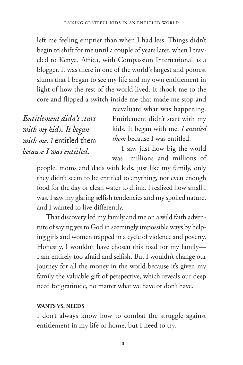left me feeling emptier than when I had less. Things didn't begin to shift for me until a couple of years later, when I traveled to Kenya, Africa, with Compassion International as a blogger. It was there in one of the world's largest and poorest slums that I began to see my life and my own entitlement in light of how the rest of the world lived. It shook me to the core and flipped a switch inside me that made me stop and

*Entitlement didn't start with my kids. It began with me. I* entitled them *because I was entitled.*

reevaluate what was happening. Entitlement didn't start with my kids. It began with me. *I entitled them* because I was entitled.

I saw just how big the world was—millions and millions of

people, moms and dads with kids, just like my family, only they didn't seem to be entitled to anything, not even enough food for the day or clean water to drink. I realized how small I was. I saw my glaring selfish tendencies and my spoiled nature, and I wanted to live differently.

That discovery led my family and me on a wild faith adventure of saying yes to God in seemingly impossible ways by helping girls and women trapped in a cycle of violence and poverty. Honestly, I wouldn't have chosen this road for my family-I am entirely too afraid and selfish. But I wouldn't change our journey for all the money in the world because it's given my family the valuable gift of perspective, which reveals our deep need for gratitude, no matter what we have or don't have.

#### **WANTS VS. NEEDS**

I don't always know how to combat the struggle against entitlement in my life or home, but I need to try.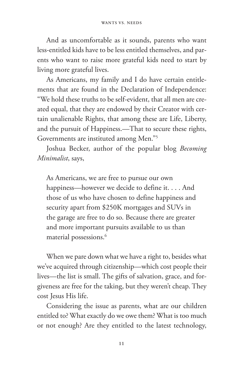And as uncomfortable as it sounds, parents who want less-entitled kids have to be less entitled themselves, and parents who want to raise more grateful kids need to start by living more grateful lives.

As Americans, my family and I do have certain entitlements that are found in the Declaration of Independence: "We hold these truths to be self-evident, that all men are created equal, that they are endowed by their Creator with certain unalienable Rights, that among these are Life, Liberty, and the pursuit of Happiness.—That to secure these rights, Governments are instituted among Men."5

Joshua Becker, author of the popular blog *Becoming Minimalist*, says,

As Americans, we are free to pursue our own happiness—however we decide to define it. . . . And those of us who have chosen to define happiness and security apart from \$250K mortgages and SUVs in the garage are free to do so. Because there are greater and more important pursuits available to us than material possessions.<sup>6</sup>

When we pare down what we have a right to, besides what we've acquired through citizenship—which cost people their lives—the list is small. The gifts of salvation, grace, and forgiveness are free for the taking, but they weren't cheap. They cost Jesus His life.

Considering the issue as parents, what are our children entitled to? What exactly do we owe them? What is too much or not enough? Are they entitled to the latest technology,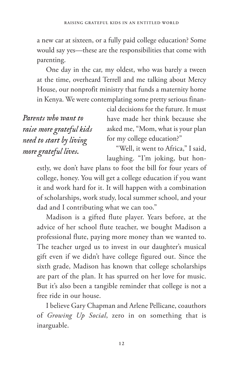a new car at sixteen, or a fully paid college education? Some would say yes—these are the responsibilities that come with parenting.

One day in the car, my oldest, who was barely a tween at the time, overheard Terrell and me talking about Mercy House, our nonprofit ministry that funds a maternity home in Kenya. We were contemplating some pretty serious finan-

*Parents who want to raise more grateful kids need to start by living more grateful lives.*

cial decisions for the future. It must have made her think because she asked me, "Mom, what is your plan for my college education?"

"Well, it went to Africa," I said, laughing. "I'm joking, but hon-

estly, we don't have plans to foot the bill for four years of college, honey. You will get a college education if you want it and work hard for it. It will happen with a combination of scholarships, work study, local summer school, and your dad and I contributing what we can too."

Madison is a gifted flute player. Years before, at the advice of her school flute teacher, we bought Madison a professional flute, paying more money than we wanted to. The teacher urged us to invest in our daughter's musical gift even if we didn't have college figured out. Since the sixth grade, Madison has known that college scholarships are part of the plan. It has spurred on her love for music. But it's also been a tangible reminder that college is not a free ride in our house.

I believe Gary Chapman and Arlene Pellicane, coauthors of *Growing Up Social*, zero in on something that is inarguable.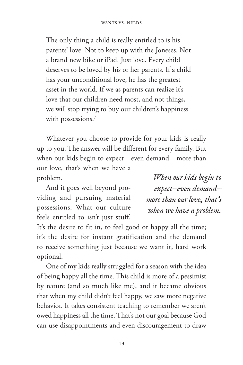The only thing a child is really entitled to is his parents' love. Not to keep up with the Joneses. Not a brand new bike or iPad. Just love. Every child deserves to be loved by his or her parents. If a child has your unconditional love, he has the greatest asset in the world. If we as parents can realize it's love that our children need most, and not things, we will stop trying to buy our children's happiness with possessions.<sup>7</sup>

Whatever you choose to provide for your kids is really up to you. The answer will be different for every family. But when our kids begin to expect—even demand—more than our love, that's when we have a problem.

And it goes well beyond providing and pursuing material possessions. What our culture feels entitled to isn't just stuff.

*When our kids begin to expect—even demand more than our love, that's when we have a problem.*

It's the desire to fit in, to feel good or happy all the time; it's the desire for instant gratification and the demand to receive something just because we want it, hard work optional.

One of my kids really struggled for a season with the idea of being happy all the time. This child is more of a pessimist by nature (and so much like me), and it became obvious that when my child didn't feel happy, we saw more negative behavior. It takes consistent teaching to remember we aren't owed happiness all the time. That's not our goal because God can use disappointments and even discouragement to draw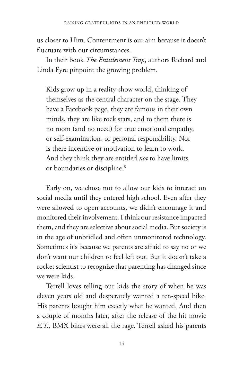us closer to Him. Contentment is our aim because it doesn't fluctuate with our circumstances.

In their book *The Entitlement Trap*, authors Richard and Linda Eyre pinpoint the growing problem.

Kids grow up in a reality-show world, thinking of themselves as the central character on the stage. They have a Facebook page, they are famous in their own minds, they are like rock stars, and to them there is no room (and no need) for true emotional empathy, or self-examination, or personal responsibility. Nor is there incentive or motivation to learn to work. And they think they are entitled *not* to have limits or boundaries or discipline.<sup>8</sup>

Early on, we chose not to allow our kids to interact on social media until they entered high school. Even after they were allowed to open accounts, we didn't encourage it and monitored their involvement. I think our resistance impacted them, and they are selective about social media. But society is in the age of unbridled and often unmonitored technology. Sometimes it's because we parents are afraid to say no or we don't want our children to feel left out. But it doesn't take a rocket scientist to recognize that parenting has changed since we were kids.

Terrell loves telling our kids the story of when he was eleven years old and desperately wanted a ten-speed bike. His parents bought him exactly what he wanted. And then a couple of months later, after the release of the hit movie *E.T.*, BMX bikes were all the rage. Terrell asked his parents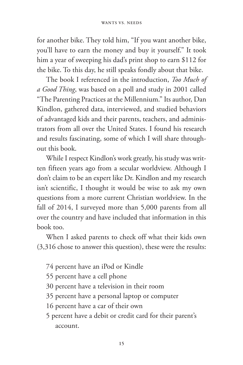for another bike. They told him, "If you want another bike, you'll have to earn the money and buy it yourself." It took him a year of sweeping his dad's print shop to earn \$112 for the bike. To this day, he still speaks fondly about that bike.

The book I referenced in the introduction, *Too Much of a Good Thing*, was based on a poll and study in 2001 called "The Parenting Practices at the Millennium." Its author, Dan Kindlon, gathered data, interviewed, and studied behaviors of advantaged kids and their parents, teachers, and administrators from all over the United States. I found his research and results fascinating, some of which I will share throughout this book.

While I respect Kindlon's work greatly, his study was written fifteen years ago from a secular worldview. Although I don't claim to be an expert like Dr. Kindlon and my research isn't scientific, I thought it would be wise to ask my own questions from a more current Christian worldview. In the fall of 2014, I surveyed more than 5,000 parents from all over the country and have included that information in this book too.

When I asked parents to check off what their kids own (3,316 chose to answer this question), these were the results:

- 74 percent have an iPod or Kindle
- 55 percent have a cell phone
- 30 percent have a television in their room
- 35 percent have a personal laptop or computer
- 16 percent have a car of their own
- 5 percent have a debit or credit card for their parent's account.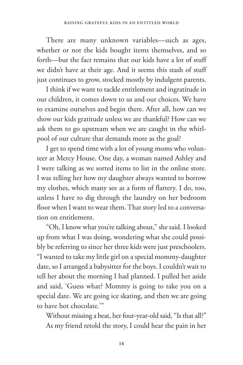There are many unknown variables—such as ages, whether or not the kids bought items themselves, and so forth—but the fact remains that our kids have a lot of stuff we didn't have at their age. And it seems this stash of stuff just continues to grow, stocked mostly by indulgent parents.

I think if we want to tackle entitlement and ingratitude in our children, it comes down to us and our choices. We have to examine ourselves and begin there. After all, how can we show our kids gratitude unless we are thankful? How can we ask them to go upstream when we are caught in the whirlpool of our culture that demands more as the goal?

I get to spend time with a lot of young moms who volunteer at Mercy House. One day, a woman named Ashley and I were talking as we sorted items to list in the online store. I was telling her how my daughter always wanted to borrow my clothes, which many see as a form of flattery. I do, too, unless I have to dig through the laundry on her bedroom floor when I want to wear them. That story led to a conversation on entitlement.

"Oh, I know what you're talking about," she said. I looked up from what I was doing, wondering what she could possibly be referring to since her three kids were just preschoolers. "I wanted to take my little girl on a special mommy-daughter date, so I arranged a babysitter for the boys. I couldn't wait to tell her about the morning I had planned. I pulled her aside and said, 'Guess what? Mommy is going to take you on a special date. We are going ice skating, and then we are going to have hot chocolate.'"

Without missing a beat, her four-year-old said, "Is that all?" As my friend retold the story, I could hear the pain in her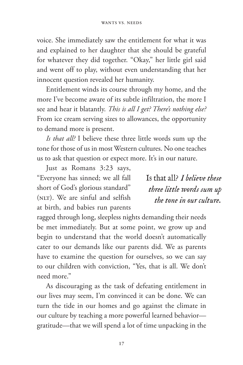voice. She immediately saw the entitlement for what it was and explained to her daughter that she should be grateful for whatever they did together. "Okay," her little girl said and went off to play, without even understanding that her innocent question revealed her humanity.

Entitlement winds its course through my home, and the more I've become aware of its subtle infiltration, the more I see and hear it blatantly. *This is all I get? There's nothing else?* From ice cream serving sizes to allowances, the opportunity to demand more is present.

*Is that all?* I believe these three little words sum up the tone for those of us in most Western cultures. No one teaches us to ask that question or expect more. It's in our nature.

Just as Romans 3:23 says, "Everyone has sinned; we all fall short of God's glorious standard" (NLT). We are sinful and selfish at birth, and babies run parents

Is that all? *I believe these three little words sum up the tone in our culture.*

ragged through long, sleepless nights demanding their needs be met immediately. But at some point, we grow up and begin to understand that the world doesn't automatically cater to our demands like our parents did. We as parents have to examine the question for ourselves, so we can say to our children with conviction, "Yes, that is all. We don't need more."

As discouraging as the task of defeating entitlement in our lives may seem, I'm convinced it can be done. We can turn the tide in our homes and go against the climate in our culture by teaching a more powerful learned behavior gratitude—that we will spend a lot of time unpacking in the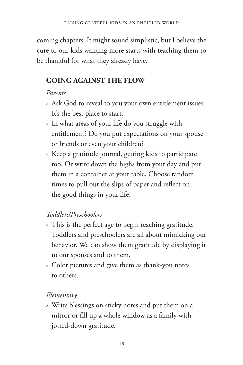coming chapters. It might sound simplistic, but I believe the cure to our kids wanting more starts with teaching them to be thankful for what they already have.

## **GOING AGAINST THE FLOW**

## *Parents*

- <sup>&</sup>gt; Ask God to reveal to you your own entitlement issues. It's the best place to start.
- <sup>&</sup>gt; In what areas of your life do you struggle with entitlement? Do you put expectations on your spouse or friends or even your children?
- <sup>&</sup>gt; Keep a gratitude journal, getting kids to participate too. Or write down the highs from your day and put them in a container at your table. Choose random times to pull out the slips of paper and reflect on the good things in your life.

## *Toddlers/Preschoolers*

- <sup>&</sup>gt; This is the perfect age to begin teaching gratitude. Toddlers and preschoolers are all about mimicking our behavior. We can show them gratitude by displaying it to our spouses and to them.
- <sup>&</sup>gt; Color pictures and give them as thank-you notes to others.

## *Elementary*

<sup>&</sup>gt; Write blessings on sticky notes and put them on a mirror or fill up a whole window as a family with jotted-down gratitude.